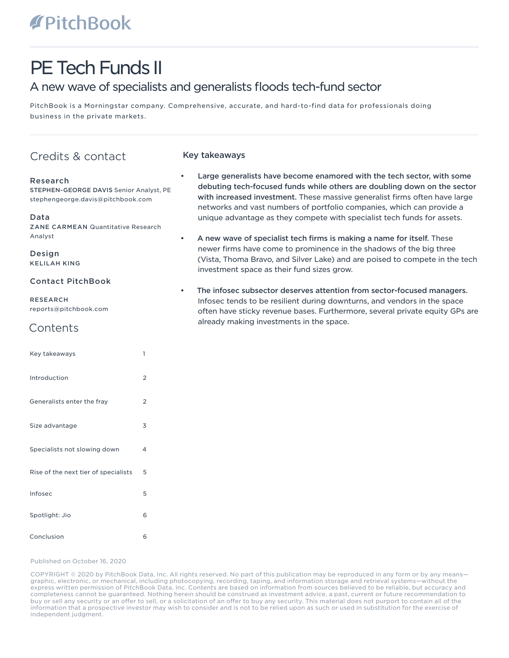# **TPitchBook**

# PE Tech Funds II

# A new wave of specialists and generalists floods tech-fund sector

PitchBook is a Morningstar company. Comprehensive, accurate, and hard-to-find data for professionals doing business in the private markets.

# Credits & contact

# Research

STEPHEN-GEORGE DAVIS Senior Analyst, PE stephengeorge.davis@pitchbook.com

Data

ZANE CARMEAN Quantitative Research Analyst

Design KELILAH KING

# Contact PitchBook

RESEARCH reports@pitchbook.com

# **Contents**

| Key takeaways                        | 1              |
|--------------------------------------|----------------|
| Introduction                         | 2              |
| Generalists enter the fray           | $\overline{2}$ |
| Size advantage                       | 3              |
| Specialists not slowing down         | 4              |
| Rise of the next tier of specialists | 5              |
| Infosec                              | 5              |
| Spotlight: Jio                       | 6              |
| Conclusion                           | 6              |

# Key takeaways

- Large generalists have become enamored with the tech sector, with some debuting tech-focused funds while others are doubling down on the sector with increased investment. These massive generalist firms often have large networks and vast numbers of portfolio companies, which can provide a unique advantage as they compete with specialist tech funds for assets.
- A new wave of specialist tech firms is making a name for itself. These newer firms have come to prominence in the shadows of the big three (Vista, Thoma Bravo, and Silver Lake) and are poised to compete in the tech investment space as their fund sizes grow.
- The infosec subsector deserves attention from sector-focused managers. Infosec tends to be resilient during downturns, and vendors in the space often have sticky revenue bases. Furthermore, several private equity GPs are already making investments in the space.

#### Published on October 16, 2020

COPYRIGHT © 2020 by PitchBook Data, Inc. All rights reserved. No part of this publication may be reproduced in any form or by any means graphic, electronic, or mechanical, including photocopying, recording, taping, and information storage and retrieval systems—without the express written permission of PitchBook Data, Inc. Contents are based on information from sources believed to be reliable, but accuracy and completeness cannot be guaranteed. Nothing herein should be construed as investment advice, a past, current or future recommendation to buy or sell any security or an offer to sell, or a solicitation of an offer to buy any security. This material does not purport to contain all of the information that a prospective investor may wish to consider and is not to be relied upon as such or used in substitution for the exercise of independent judgment.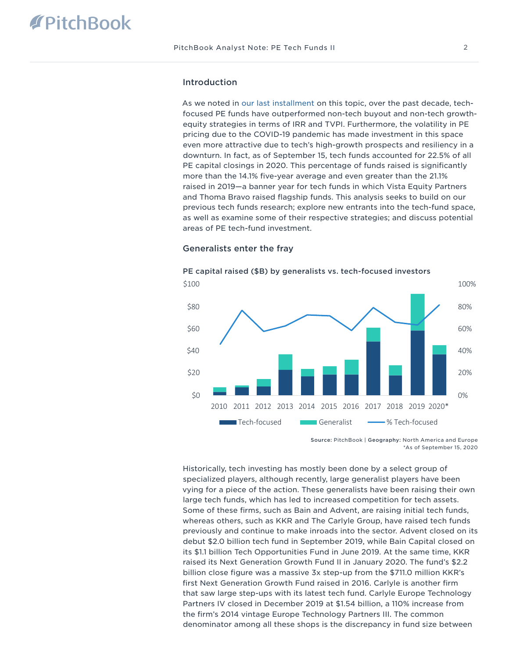# Introduction

As we noted in [our last installment](https://files.pitchbook.com/website/files/pdf/PitchBook_4Q_2019_Analyst_Note_Overview_of_Tech_Focused_PE_Funds.pdf) on this topic, over the past decade, techfocused PE funds have outperformed non-tech buyout and non-tech growthequity strategies in terms of IRR and TVPI. Furthermore, the volatility in PE pricing due to the COVID-19 pandemic has made investment in this space even more attractive due to tech's high-growth prospects and resiliency in a downturn. In fact, as of September 15, tech funds accounted for 22.5% of all PE capital closings in 2020. This percentage of funds raised is significantly more than the 14.1% five-year average and even greater than the 21.1% raised in 2019—a banner year for tech funds in which Vista Equity Partners and Thoma Bravo raised flagship funds. This analysis seeks to build on our previous tech funds research; explore new entrants into the tech-fund space, as well as examine some of their respective strategies; and discuss potential areas of PE tech-fund investment.



#### Generalists enter the fray

Source: PitchBook | Geography: North America and Europe \*As of September 15, 2020

Historically, tech investing has mostly been done by a select group of specialized players, although recently, large generalist players have been vying for a piece of the action. These generalists have been raising their own large tech funds, which has led to increased competition for tech assets. Some of these firms, such as Bain and Advent, are raising initial tech funds, whereas others, such as KKR and The Carlyle Group, have raised tech funds previously and continue to make inroads into the sector. Advent closed on its debut \$2.0 billion tech fund in September 2019, while Bain Capital closed on its \$1.1 billion Tech Opportunities Fund in June 2019. At the same time, KKR raised its Next Generation Growth Fund II in January 2020. The fund's \$2.2 billion close figure was a massive 3x step-up from the \$711.0 million KKR's first Next Generation Growth Fund raised in 2016. Carlyle is another firm that saw large step-ups with its latest tech fund. Carlyle Europe Technology Partners IV closed in December 2019 at \$1.54 billion, a 110% increase from the firm's 2014 vintage Europe Technology Partners III. The common denominator among all these shops is the discrepancy in fund size between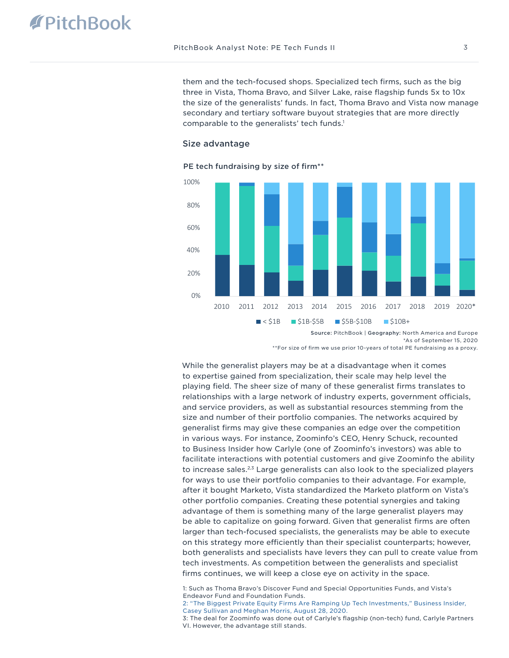them and the tech-focused shops. Specialized tech firms, such as the big three in Vista, Thoma Bravo, and Silver Lake, raise flagship funds 5x to 10x the size of the generalists' funds. In fact, Thoma Bravo and Vista now manage secondary and tertiary software buyout strategies that are more directly comparable to the generalists' tech funds.<sup>1</sup>

#### Size advantage

#### PE tech fundraising by size of firm\*\*



Source: PitchBook | Geography: North America and Europe

\*As of September 15, 2020

\*\*For size of firm we use prior 10-years of total PE fundraising as a proxy.

While the generalist players may be at a disadvantage when it comes to expertise gained from specialization, their scale may help level the playing field. The sheer size of many of these generalist firms translates to relationships with a large network of industry experts, government officials, and service providers, as well as substantial resources stemming from the size and number of their portfolio companies. The networks acquired by generalist firms may give these companies an edge over the competition in various ways. For instance, Zoominfo's CEO, Henry Schuck, recounted to Business Insider how Carlyle (one of Zoominfo's investors) was able to facilitate interactions with potential customers and give Zoominfo the ability to increase sales.<sup>2,3</sup> Large generalists can also look to the specialized players for ways to use their portfolio companies to their advantage. For example, after it bought Marketo, Vista standardized the Marketo platform on Vista's other portfolio companies. Creating these potential synergies and taking advantage of them is something many of the large generalist players may be able to capitalize on going forward. Given that generalist firms are often larger than tech-focused specialists, the generalists may be able to execute on this strategy more efficiently than their specialist counterparts; however, both generalists and specialists have levers they can pull to create value from tech investments. As competition between the generalists and specialist firms continues, we will keep a close eye on activity in the space.

1: Such as Thoma Bravo's Discover Fund and Special Opportunities Funds, and Vista's Endeavor Fund and Foundation Funds.

[2: "The Biggest Private Equity Firms Are Ramping Up Tech Investments," Business Insider,](https://www.businessinsider.com/biggest-private-equity-tech-investors-kkr-carlyle-enterprise-software-deals-2020-8)  [Casey Sullivan and Meghan Morris, August 28, 2020.](https://www.businessinsider.com/biggest-private-equity-tech-investors-kkr-carlyle-enterprise-software-deals-2020-8)

3: The deal for Zoominfo was done out of Carlyle's flagship (non-tech) fund, Carlyle Partners VI. However, the advantage still stands.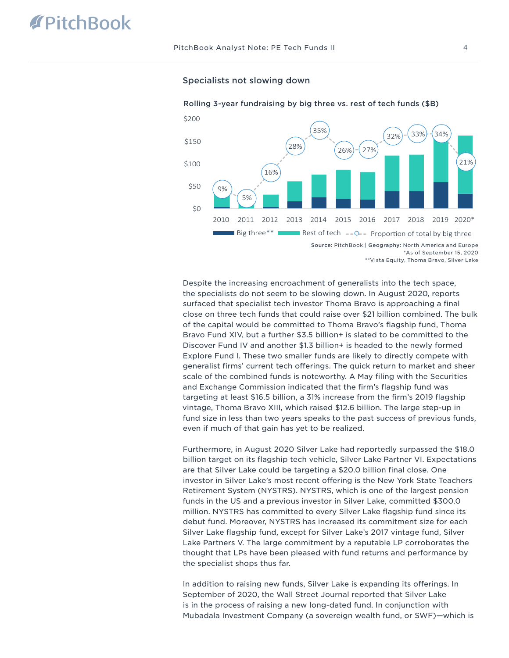

Rolling 3-year fundraising by big three vs. rest of tech funds (\$B)

#### Specialists not slowing down

Despite the increasing encroachment of generalists into the tech space, the specialists do not seem to be slowing down. In August 2020, reports surfaced that specialist tech investor Thoma Bravo is approaching a final close on three tech funds that could raise over \$21 billion combined. The bulk of the capital would be committed to Thoma Bravo's flagship fund, Thoma Bravo Fund XIV, but a further \$3.5 billion+ is slated to be committed to the Discover Fund IV and another \$1.3 billion+ is headed to the newly formed Explore Fund I. These two smaller funds are likely to directly compete with generalist firms' current tech offerings. The quick return to market and sheer scale of the combined funds is noteworthy. A May filing with the Securities and Exchange Commission indicated that the firm's flagship fund was targeting at least \$16.5 billion, a 31% increase from the firm's 2019 flagship vintage, Thoma Bravo XIII, which raised \$12.6 billion. The large step-up in fund size in less than two years speaks to the past success of previous funds, even if much of that gain has yet to be realized.

Furthermore, in August 2020 Silver Lake had reportedly surpassed the \$18.0 billion target on its flagship tech vehicle, Silver Lake Partner VI. Expectations are that Silver Lake could be targeting a \$20.0 billion final close. One investor in Silver Lake's most recent offering is the New York State Teachers Retirement System (NYSTRS). NYSTRS, which is one of the largest pension funds in the US and a previous investor in Silver Lake, committed \$300.0 million. NYSTRS has committed to every Silver Lake flagship fund since its debut fund. Moreover, NYSTRS has increased its commitment size for each Silver Lake flagship fund, except for Silver Lake's 2017 vintage fund, Silver Lake Partners V. The large commitment by a reputable LP corroborates the thought that LPs have been pleased with fund returns and performance by the specialist shops thus far.

In addition to raising new funds, Silver Lake is expanding its offerings. In September of 2020, the Wall Street Journal reported that Silver Lake is in the process of raising a new long-dated fund. In conjunction with Mubadala Investment Company (a sovereign wealth fund, or SWF)—which is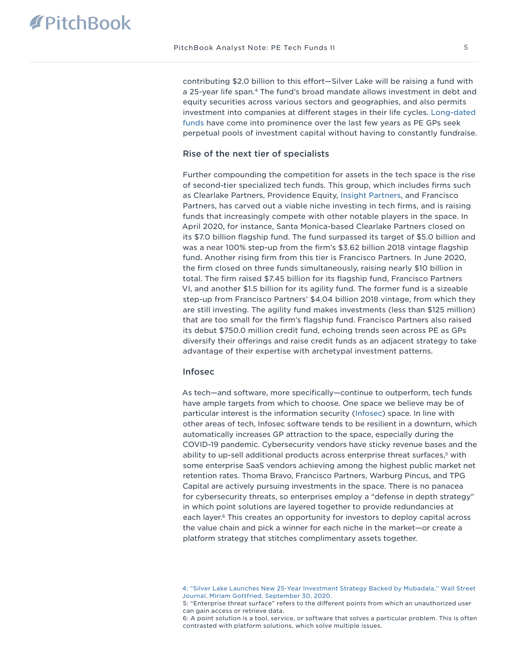contributing \$2.0 billion to this effort—Silver Lake will be raising a fund with a 25-year life span.<sup>4</sup> The fund's broad mandate allows investment in debt and equity securities across various sectors and geographies, and also permits investment into companies at different stages in their life cycles. [Long-dated](https://files.pitchbook.com/website/files/pdf/PitchBook_2Q_2018_Analyst_Note_For_The_Longest_Time.pdf)  [funds](https://files.pitchbook.com/website/files/pdf/PitchBook_2Q_2018_Analyst_Note_For_The_Longest_Time.pdf) have come into prominence over the last few years as PE GPs seek perpetual pools of investment capital without having to constantly fundraise.

#### Rise of the next tier of specialists

Further compounding the competition for assets in the tech space is the rise of second-tier specialized tech funds. This group, which includes firms such as Clearlake Partners, Providence Equity, [Insight Partners](https://files.pitchbook.com/website/files/pdf/PitchBook_Q2_2020_Analyst_Note_Growth_Equity_Overview.pdf), and Francisco Partners, has carved out a viable niche investing in tech firms, and is raising funds that increasingly compete with other notable players in the space. In April 2020, for instance, Santa Monica-based Clearlake Partners closed on its \$7.0 billion flagship fund. The fund surpassed its target of \$5.0 billion and was a near 100% step-up from the firm's \$3.62 billion 2018 vintage flagship fund. Another rising firm from this tier is Francisco Partners. In June 2020, the firm closed on three funds simultaneously, raising nearly \$10 billion in total. The firm raised \$7.45 billion for its flagship fund, Francisco Partners VI, and another \$1.5 billion for its agility fund. The former fund is a sizeable step-up from Francisco Partners' \$4.04 billion 2018 vintage, from which they are still investing. The agility fund makes investments (less than \$125 million) that are too small for the firm's flagship fund. Francisco Partners also raised its debut \$750.0 million credit fund, echoing trends seen across PE as GPs diversify their offerings and raise credit funds as an adjacent strategy to take advantage of their expertise with archetypal investment patterns.

## Infosec

As tech—and software, more specifically—continue to outperform, tech funds have ample targets from which to choose. One space we believe may be of particular interest is the information security [\(Infosec\)](https://files.pitchbook.com/website/files/pdf/PitchBook_Q2_2020_Emerging_Tech_Research_Information_Security.pdf) space. In line with other areas of tech, Infosec software tends to be resilient in a downturn, which automatically increases GP attraction to the space, especially during the COVID-19 pandemic. Cybersecurity vendors have sticky revenue bases and the ability to up-sell additional products across enterprise threat surfaces,5 with some enterprise SaaS vendors achieving among the highest public market net retention rates. Thoma Bravo, Francisco Partners, Warburg Pincus, and TPG Capital are actively pursuing investments in the space. There is no panacea for cybersecurity threats, so enterprises employ a "defense in depth strategy" in which point solutions are layered together to provide redundancies at each layer.<sup>6</sup> This creates an opportunity for investors to deploy capital across the value chain and pick a winner for each niche in the market—or create a platform strategy that stitches complimentary assets together.

[<sup>4: &</sup>quot;Silver Lake Launches New 25-Year Investment Strategy Backed by Mubadala," Wall Street](https://www.wsj.com/articles/silver-lake-launches-new-25-year-investment-strategy-backed-by-mubadala-11601429400)  [Journal, Miriam Gottfried, September 30, 2020.](https://www.wsj.com/articles/silver-lake-launches-new-25-year-investment-strategy-backed-by-mubadala-11601429400)

<sup>5: &</sup>quot;Enterprise threat surface" refers to the different points from which an unauthorized user can gain access or retrieve data.

<sup>6:</sup> A point solution is a tool, service, or software that solves a particular problem. This is often contrasted with platform solutions, which solve multiple issues.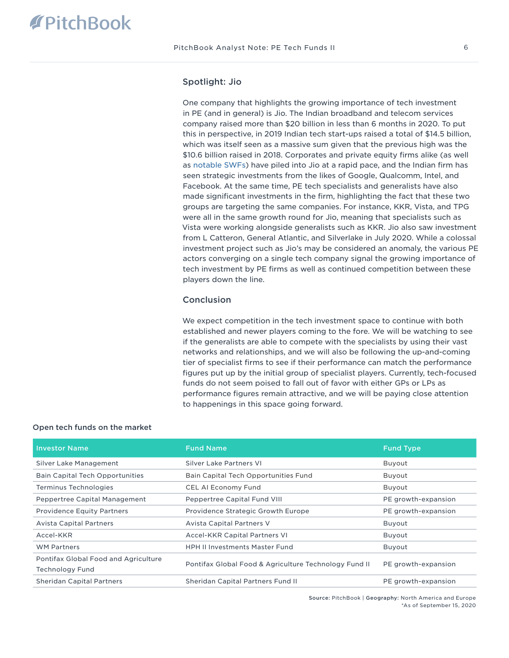## Spotlight: Jio

One company that highlights the growing importance of tech investment in PE (and in general) is Jio. The Indian broadband and telecom services company raised more than \$20 billion in less than 6 months in 2020. To put this in perspective, in 2019 Indian tech start-ups raised a total of \$14.5 billion, which was itself seen as a massive sum given that the previous high was the \$10.6 billion raised in 2018. Corporates and private equity firms alike (as well as [notable SWFs](https://files.pitchbook.com/website/files/pdf/PitchBook_3Q_2019_Analyst_Note_Sovereign_Wealth_Fund_Overview.pdf)) have piled into Jio at a rapid pace, and the Indian firm has seen strategic investments from the likes of Google, Qualcomm, Intel, and Facebook. At the same time, PE tech specialists and generalists have also made significant investments in the firm, highlighting the fact that these two groups are targeting the same companies. For instance, KKR, Vista, and TPG were all in the same growth round for Jio, meaning that specialists such as Vista were working alongside generalists such as KKR. Jio also saw investment from L Catteron, General Atlantic, and Silverlake in July 2020. While a colossal investment project such as Jio's may be considered an anomaly, the various PE actors converging on a single tech company signal the growing importance of tech investment by PE firms as well as continued competition between these players down the line.

### **Conclusion**

We expect competition in the tech investment space to continue with both established and newer players coming to the fore. We will be watching to see if the generalists are able to compete with the specialists by using their vast networks and relationships, and we will also be following the up-and-coming tier of specialist firms to see if their performance can match the performance figures put up by the initial group of specialist players. Currently, tech-focused funds do not seem poised to fall out of favor with either GPs or LPs as performance figures remain attractive, and we will be paying close attention to happenings in this space going forward.

| <b>Investor Name</b>                                           | <b>Fund Name</b>                                      | <b>Fund Type</b>    |
|----------------------------------------------------------------|-------------------------------------------------------|---------------------|
| Silver Lake Management                                         | Silver Lake Partners VI                               | Buyout              |
| <b>Bain Capital Tech Opportunities</b>                         | Bain Capital Tech Opportunities Fund                  | Buyout              |
| <b>Terminus Technologies</b>                                   | CEL AI Economy Fund                                   | Buyout              |
| Peppertree Capital Management                                  | Peppertree Capital Fund VIII                          | PE growth-expansion |
| <b>Providence Equity Partners</b>                              | Providence Strategic Growth Europe                    | PE growth-expansion |
| <b>Avista Capital Partners</b>                                 | <b>Avista Capital Partners V</b>                      | Buyout              |
| Accel-KKR                                                      | <b>Accel-KKR Capital Partners VI</b>                  | Buyout              |
| <b>WM Partners</b>                                             | <b>HPH II Investments Master Fund</b>                 | Buyout              |
| Pontifax Global Food and Agriculture<br><b>Technology Fund</b> | Pontifax Global Food & Agriculture Technology Fund II | PE growth-expansion |
| <b>Sheridan Capital Partners</b>                               | Sheridan Capital Partners Fund II                     | PE growth-expansion |

#### Open tech funds on the market

Source: PitchBook | Geography: North America and Europe \*As of September 15, 2020